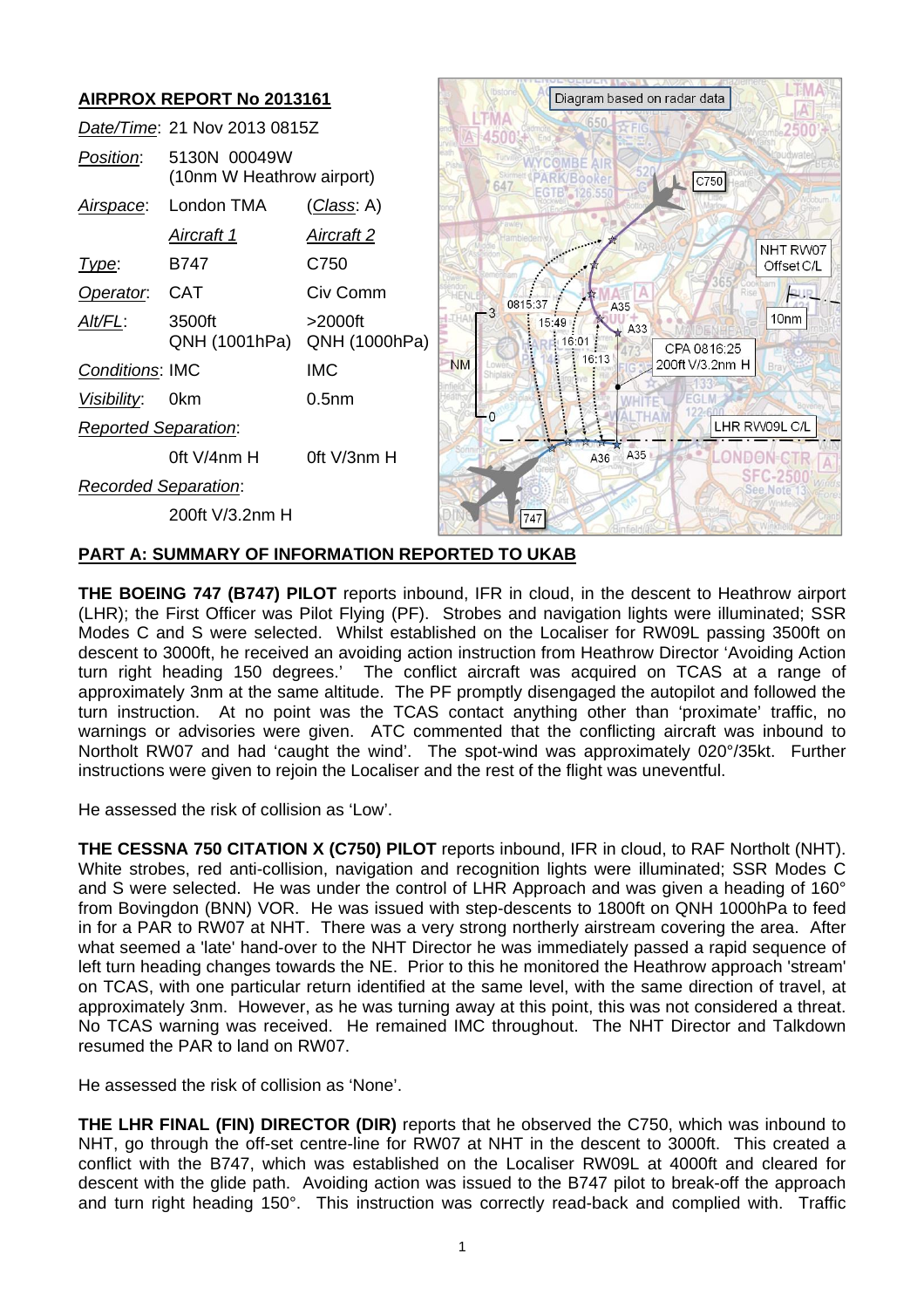

## **PART A: SUMMARY OF INFORMATION REPORTED TO UKAB**

**THE BOEING 747 (B747) PILOT** reports inbound, IFR in cloud, in the descent to Heathrow airport (LHR); the First Officer was Pilot Flying (PF). Strobes and navigation lights were illuminated; SSR Modes C and S were selected. Whilst established on the Localiser for RW09L passing 3500ft on descent to 3000ft, he received an avoiding action instruction from Heathrow Director 'Avoiding Action turn right heading 150 degrees.' The conflict aircraft was acquired on TCAS at a range of approximately 3nm at the same altitude. The PF promptly disengaged the autopilot and followed the turn instruction. At no point was the TCAS contact anything other than 'proximate' traffic, no warnings or advisories were given. ATC commented that the conflicting aircraft was inbound to Northolt RW07 and had 'caught the wind'. The spot-wind was approximately 020°/35kt. Further instructions were given to rejoin the Localiser and the rest of the flight was uneventful.

He assessed the risk of collision as 'Low'.

**THE CESSNA 750 CITATION X (C750) PILOT** reports inbound, IFR in cloud, to RAF Northolt (NHT). White strobes, red anti-collision, navigation and recognition lights were illuminated; SSR Modes C and S were selected. He was under the control of LHR Approach and was given a heading of 160° from Bovingdon (BNN) VOR. He was issued with step-descents to 1800ft on QNH 1000hPa to feed in for a PAR to RW07 at NHT. There was a very strong northerly airstream covering the area. After what seemed a 'late' hand-over to the NHT Director he was immediately passed a rapid sequence of left turn heading changes towards the NE. Prior to this he monitored the Heathrow approach 'stream' on TCAS, with one particular return identified at the same level, with the same direction of travel, at approximately 3nm. However, as he was turning away at this point, this was not considered a threat. No TCAS warning was received. He remained IMC throughout. The NHT Director and Talkdown resumed the PAR to land on RW07.

He assessed the risk of collision as 'None'.

**THE LHR FINAL (FIN) DIRECTOR (DIR)** reports that he observed the C750, which was inbound to NHT, go through the off-set centre-line for RW07 at NHT in the descent to 3000ft. This created a conflict with the B747, which was established on the Localiser RW09L at 4000ft and cleared for descent with the glide path. Avoiding action was issued to the B747 pilot to break-off the approach and turn right heading 150°. This instruction was correctly read-back and complied with. Traffic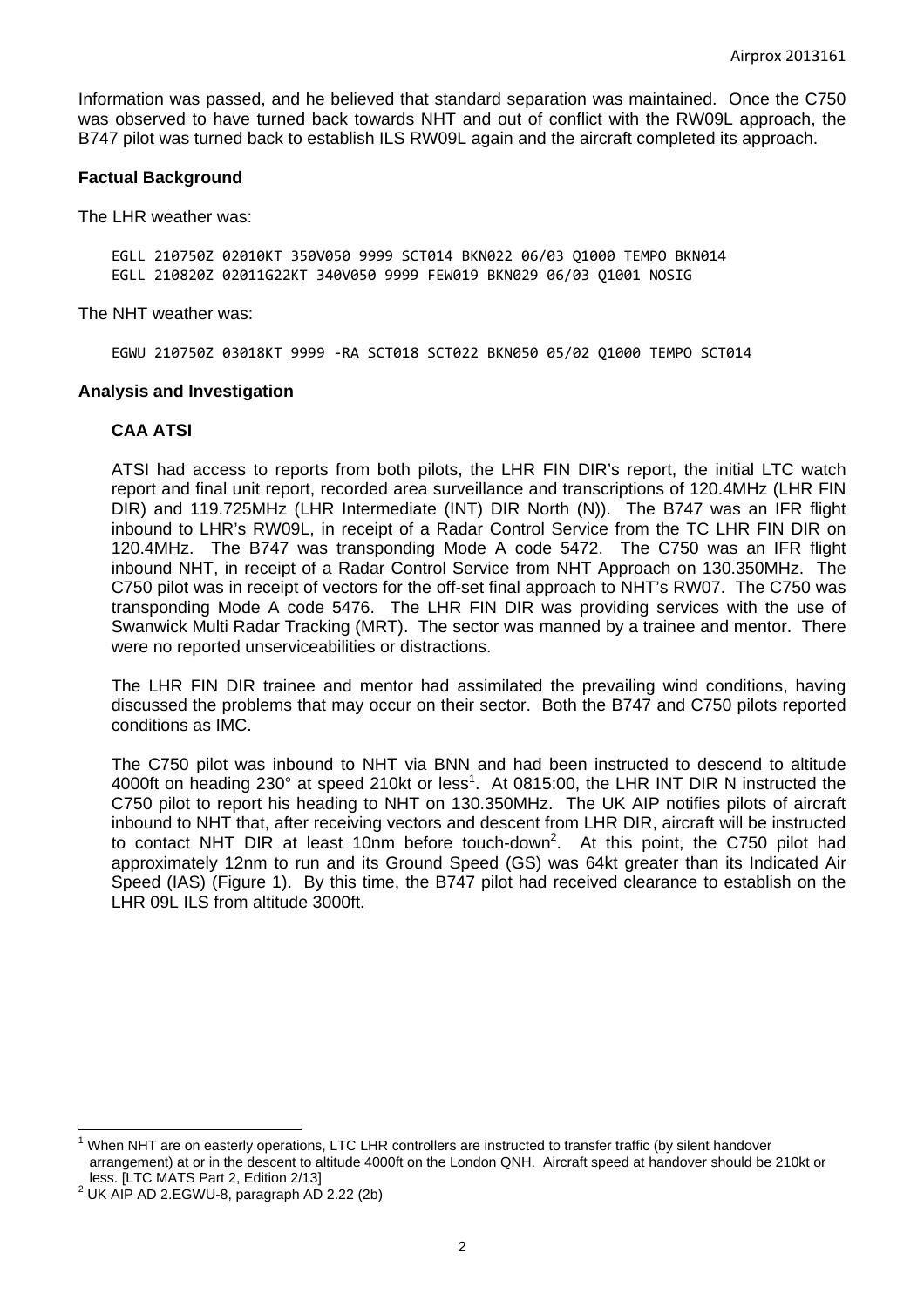Information was passed, and he believed that standard separation was maintained. Once the C750 was observed to have turned back towards NHT and out of conflict with the RW09L approach, the B747 pilot was turned back to establish ILS RW09L again and the aircraft completed its approach.

#### **Factual Background**

The LHR weather was:

EGLL 210750Z 02010KT 350V050 9999 SCT014 BKN022 06/03 Q1000 TEMPO BKN014 EGLL 210820Z 02011G22KT 340V050 9999 FEW019 BKN029 06/03 Q1001 NOSIG

The NHT weather was:

EGWU 210750Z 03018KT 9999 ‐RA SCT018 SCT022 BKN050 05/02 Q1000 TEMPO SCT014

#### **Analysis and Investigation**

#### **CAA ATSI**

ATSI had access to reports from both pilots, the LHR FIN DIR's report, the initial LTC watch report and final unit report, recorded area surveillance and transcriptions of 120.4MHz (LHR FIN DIR) and 119.725MHz (LHR Intermediate (INT) DIR North (N)). The B747 was an IFR flight inbound to LHR's RW09L, in receipt of a Radar Control Service from the TC LHR FIN DIR on 120.4MHz. The B747 was transponding Mode A code 5472. The C750 was an IFR flight inbound NHT, in receipt of a Radar Control Service from NHT Approach on 130.350MHz. The C750 pilot was in receipt of vectors for the off-set final approach to NHT's RW07. The C750 was transponding Mode A code 5476. The LHR FIN DIR was providing services with the use of Swanwick Multi Radar Tracking (MRT). The sector was manned by a trainee and mentor. There were no reported unserviceabilities or distractions.

The LHR FIN DIR trainee and mentor had assimilated the prevailing wind conditions, having discussed the problems that may occur on their sector. Both the B747 and C750 pilots reported conditions as IMC.

The C750 pilot was inbound to NHT via BNN and had been instructed to descend to altitude 4000ft on heading 230 $^{\circ}$  at speed 210kt or less<sup>1</sup>. At 0815:00, the LHR INT DIR N instructed the C750 pilot to report his heading to NHT on 130.350MHz. The UK AIP notifies pilots of aircraft inbound to NHT that, after receiving vectors and descent from LHR DIR, aircraft will be instructed to contact NHT DIR at least 10nm before touch-down<sup>2</sup>. At this point, the C750 pilot had approximately 12nm to run and its Ground Speed (GS) was 64kt greater than its Indicated Air Speed (IAS) (Figure 1). By this time, the B747 pilot had received clearance to establish on the LHR 09L ILS from altitude 3000ft.

<u> 1989 - Andrea Andrew Maria (h. 1989).</u><br>Demografia

<sup>&</sup>lt;sup>1</sup> When NHT are on easterly operations, LTC LHR controllers are instructed to transfer traffic (by silent handover arrangement) at or in the descent to altitude 4000ft on the London QNH. Aircraft speed at handover should be 210kt or less. [LTC MATS Part 2, Edition 2/13]

 $2$  UK AIP AD 2.EGWU-8, paragraph AD 2.22 (2b)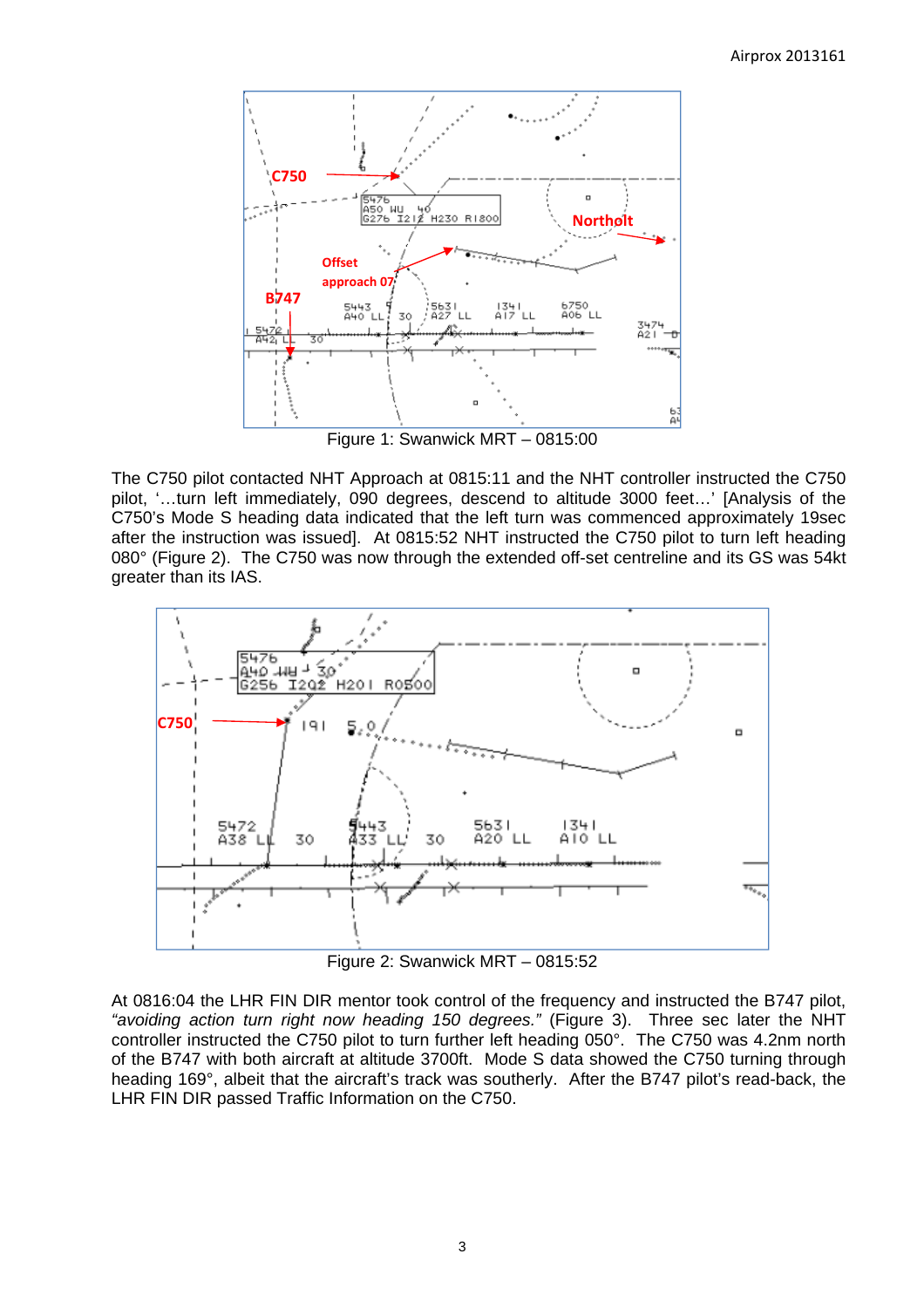

Figure 1: Swanwick MRT – 0815:00

The C750 pilot contacted NHT Approach at 0815:11 and the NHT controller instructed the C750 pilot, '…turn left immediately, 090 degrees, descend to altitude 3000 feet…' [Analysis of the C750's Mode S heading data indicated that the left turn was commenced approximately 19sec after the instruction was issued]. At 0815:52 NHT instructed the C750 pilot to turn left heading 080° (Figure 2). The C750 was now through the extended off-set centreline and its GS was 54kt greater than its IAS.



Figure 2: Swanwick MRT – 0815:52

At 0816:04 the LHR FIN DIR mentor took control of the frequency and instructed the B747 pilot, *"avoiding action turn right now heading 150 degrees."* (Figure 3). Three sec later the NHT controller instructed the C750 pilot to turn further left heading 050°. The C750 was 4.2nm north of the B747 with both aircraft at altitude 3700ft. Mode S data showed the C750 turning through heading 169°, albeit that the aircraft's track was southerly. After the B747 pilot's read-back, the LHR FIN DIR passed Traffic Information on the C750.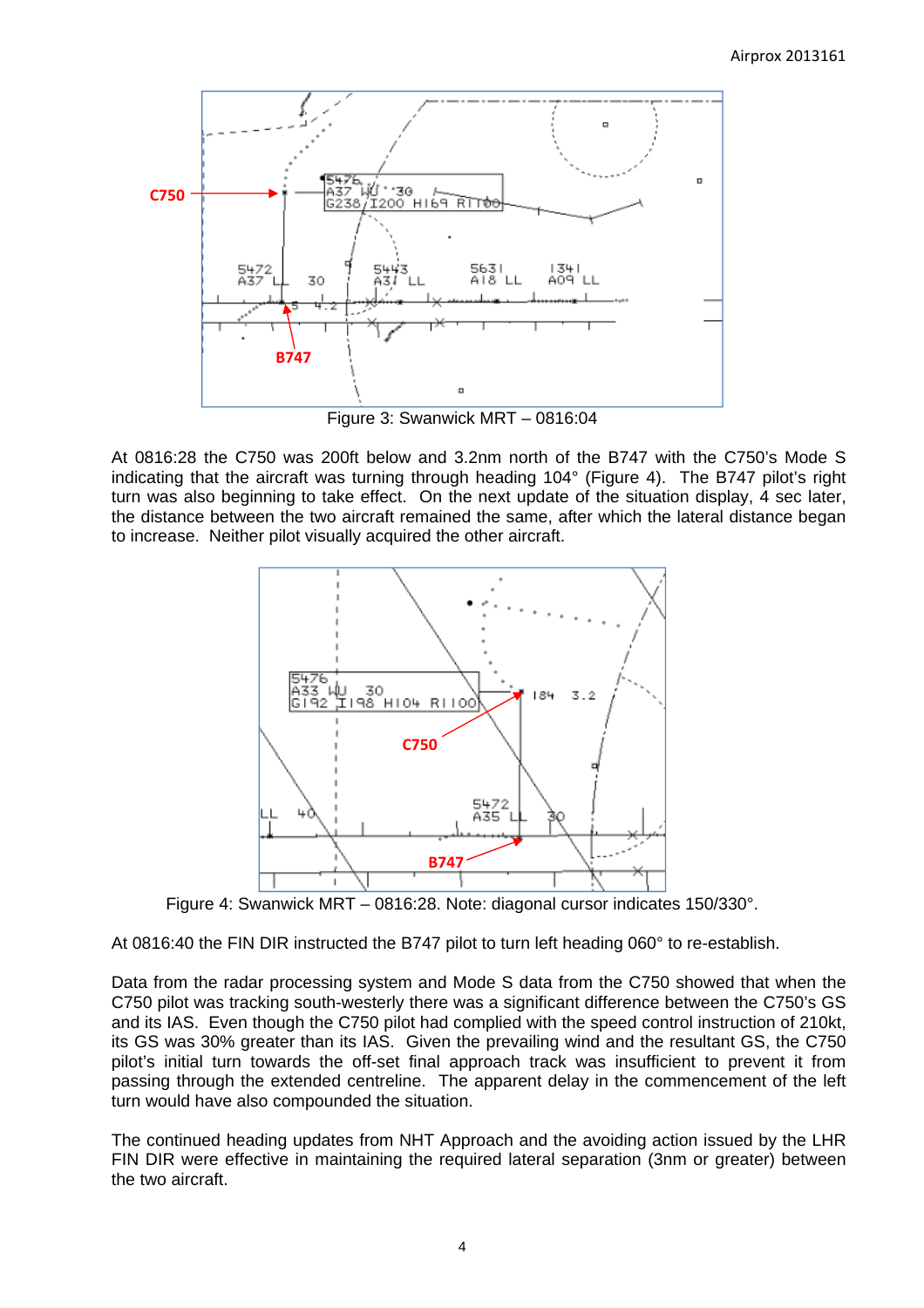

Figure 3: Swanwick MRT – 0816:04

At 0816:28 the C750 was 200ft below and 3.2nm north of the B747 with the C750's Mode S indicating that the aircraft was turning through heading 104° (Figure 4). The B747 pilot's right turn was also beginning to take effect. On the next update of the situation display, 4 sec later, the distance between the two aircraft remained the same, after which the lateral distance began to increase. Neither pilot visually acquired the other aircraft.



Figure 4: Swanwick MRT – 0816:28. Note: diagonal cursor indicates 150/330°.

At 0816:40 the FIN DIR instructed the B747 pilot to turn left heading 060° to re-establish.

Data from the radar processing system and Mode S data from the C750 showed that when the C750 pilot was tracking south-westerly there was a significant difference between the C750's GS and its IAS. Even though the C750 pilot had complied with the speed control instruction of 210kt, its GS was 30% greater than its IAS. Given the prevailing wind and the resultant GS, the C750 pilot's initial turn towards the off-set final approach track was insufficient to prevent it from passing through the extended centreline. The apparent delay in the commencement of the left turn would have also compounded the situation.

The continued heading updates from NHT Approach and the avoiding action issued by the LHR FIN DIR were effective in maintaining the required lateral separation (3nm or greater) between the two aircraft.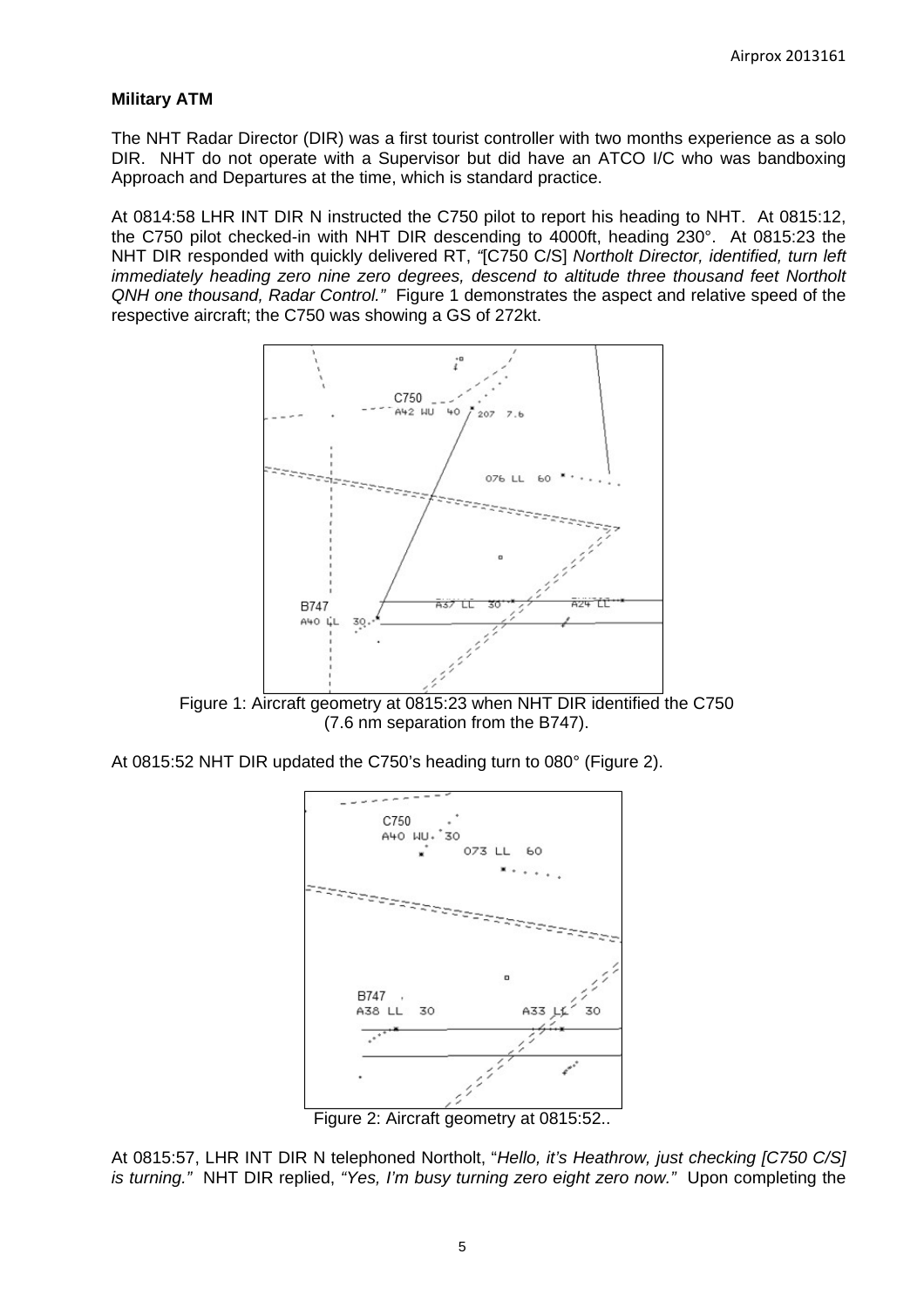## **Military ATM**

The NHT Radar Director (DIR) was a first tourist controller with two months experience as a solo DIR. NHT do not operate with a Supervisor but did have an ATCO I/C who was bandboxing Approach and Departures at the time, which is standard practice.

At 0814:58 LHR INT DIR N instructed the C750 pilot to report his heading to NHT. At 0815:12, the C750 pilot checked-in with NHT DIR descending to 4000ft, heading 230°. At 0815:23 the NHT DIR responded with quickly delivered RT, *"*[C750 C/S] *Northolt Director, identified, turn left immediately heading zero nine zero degrees, descend to altitude three thousand feet Northolt QNH one thousand, Radar Control."* Figure 1 demonstrates the aspect and relative speed of the respective aircraft; the C750 was showing a GS of 272kt.



Figure 1: Aircraft geometry at 0815:23 when NHT DIR identified the C750 (7.6 nm separation from the B747).

At 0815:52 NHT DIR updated the C750's heading turn to 080° (Figure 2).



Figure 2: Aircraft geometry at 0815:52..

At 0815:57, LHR INT DIR N telephoned Northolt, "*Hello, it's Heathrow, just checking [C750 C/S] is turning."* NHT DIR replied, *"Yes, I'm busy turning zero eight zero now."* Upon completing the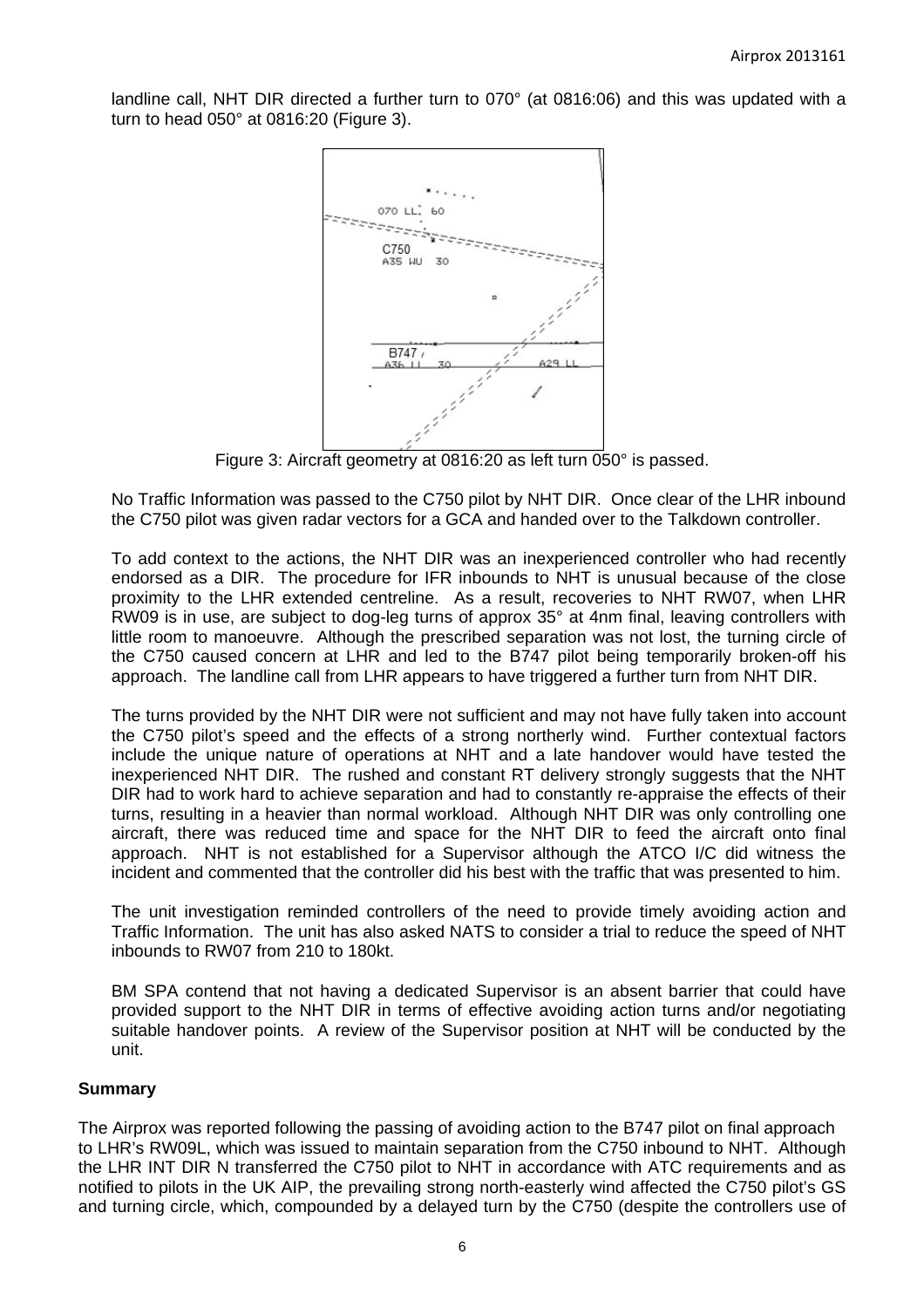landline call, NHT DIR directed a further turn to 070° (at 0816:06) and this was updated with a turn to head 050° at 0816:20 (Figure 3).



Figure 3: Aircraft geometry at 0816:20 as left turn 050° is passed.

No Traffic Information was passed to the C750 pilot by NHT DIR. Once clear of the LHR inbound the C750 pilot was given radar vectors for a GCA and handed over to the Talkdown controller.

To add context to the actions, the NHT DIR was an inexperienced controller who had recently endorsed as a DIR. The procedure for IFR inbounds to NHT is unusual because of the close proximity to the LHR extended centreline. As a result, recoveries to NHT RW07, when LHR RW09 is in use, are subject to dog-leg turns of approx 35° at 4nm final, leaving controllers with little room to manoeuvre. Although the prescribed separation was not lost, the turning circle of the C750 caused concern at LHR and led to the B747 pilot being temporarily broken-off his approach. The landline call from LHR appears to have triggered a further turn from NHT DIR.

The turns provided by the NHT DIR were not sufficient and may not have fully taken into account the C750 pilot's speed and the effects of a strong northerly wind. Further contextual factors include the unique nature of operations at NHT and a late handover would have tested the inexperienced NHT DIR. The rushed and constant RT delivery strongly suggests that the NHT DIR had to work hard to achieve separation and had to constantly re-appraise the effects of their turns, resulting in a heavier than normal workload. Although NHT DIR was only controlling one aircraft, there was reduced time and space for the NHT DIR to feed the aircraft onto final approach. NHT is not established for a Supervisor although the ATCO I/C did witness the incident and commented that the controller did his best with the traffic that was presented to him.

The unit investigation reminded controllers of the need to provide timely avoiding action and Traffic Information. The unit has also asked NATS to consider a trial to reduce the speed of NHT inbounds to RW07 from 210 to 180kt.

BM SPA contend that not having a dedicated Supervisor is an absent barrier that could have provided support to the NHT DIR in terms of effective avoiding action turns and/or negotiating suitable handover points. A review of the Supervisor position at NHT will be conducted by the unit.

## **Summary**

The Airprox was reported following the passing of avoiding action to the B747 pilot on final approach to LHR's RW09L, which was issued to maintain separation from the C750 inbound to NHT. Although the LHR INT DIR N transferred the C750 pilot to NHT in accordance with ATC requirements and as notified to pilots in the UK AIP, the prevailing strong north-easterly wind affected the C750 pilot's GS and turning circle, which, compounded by a delayed turn by the C750 (despite the controllers use of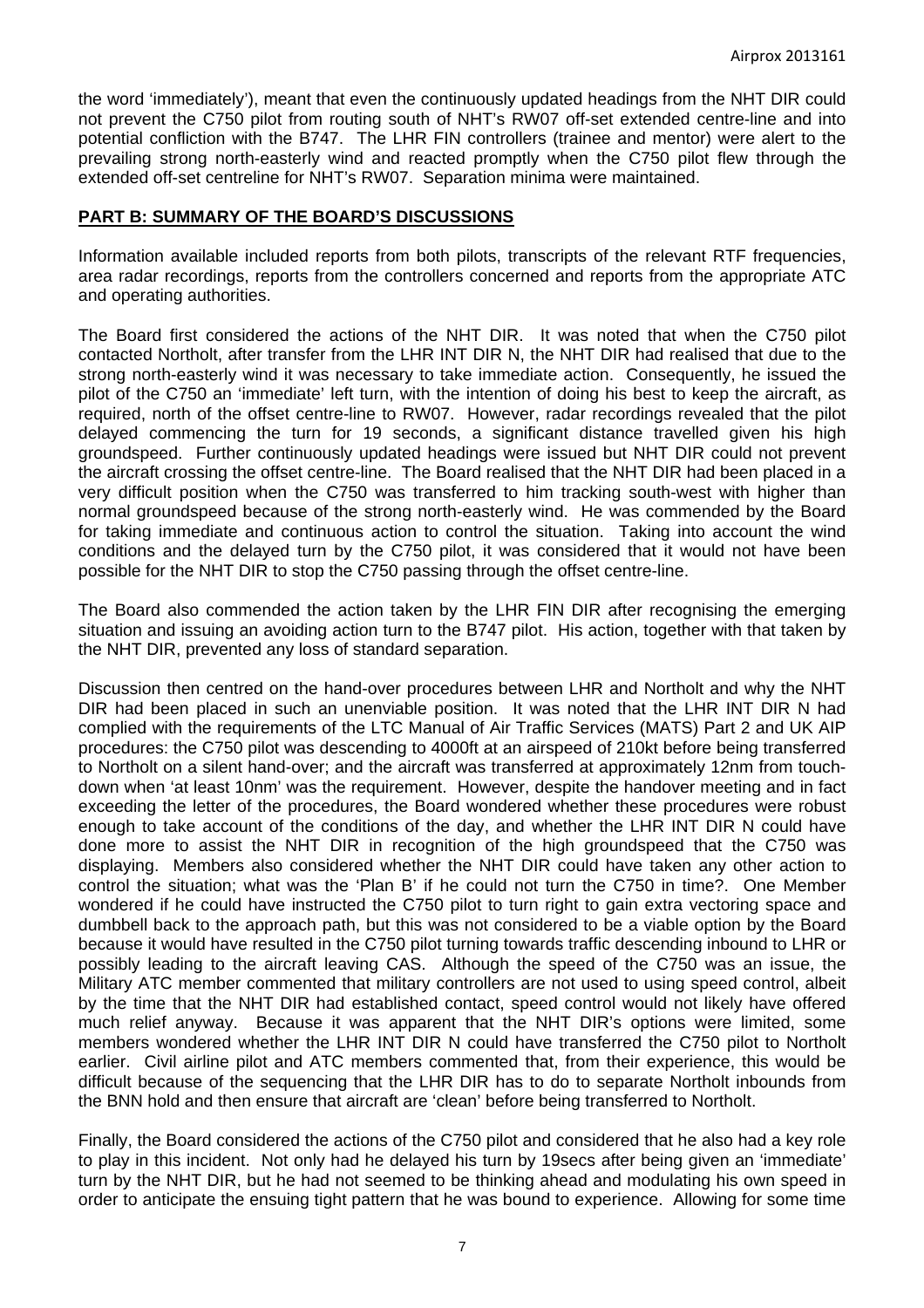the word 'immediately'), meant that even the continuously updated headings from the NHT DIR could not prevent the C750 pilot from routing south of NHT's RW07 off-set extended centre-line and into potential confliction with the B747. The LHR FIN controllers (trainee and mentor) were alert to the prevailing strong north-easterly wind and reacted promptly when the C750 pilot flew through the extended off-set centreline for NHT's RW07. Separation minima were maintained.

### **PART B: SUMMARY OF THE BOARD'S DISCUSSIONS**

Information available included reports from both pilots, transcripts of the relevant RTF frequencies, area radar recordings, reports from the controllers concerned and reports from the appropriate ATC and operating authorities.

The Board first considered the actions of the NHT DIR. It was noted that when the C750 pilot contacted Northolt, after transfer from the LHR INT DIR N, the NHT DIR had realised that due to the strong north-easterly wind it was necessary to take immediate action. Consequently, he issued the pilot of the C750 an 'immediate' left turn, with the intention of doing his best to keep the aircraft, as required, north of the offset centre-line to RW07. However, radar recordings revealed that the pilot delayed commencing the turn for 19 seconds, a significant distance travelled given his high groundspeed. Further continuously updated headings were issued but NHT DIR could not prevent the aircraft crossing the offset centre-line. The Board realised that the NHT DIR had been placed in a very difficult position when the C750 was transferred to him tracking south-west with higher than normal groundspeed because of the strong north-easterly wind. He was commended by the Board for taking immediate and continuous action to control the situation. Taking into account the wind conditions and the delayed turn by the C750 pilot, it was considered that it would not have been possible for the NHT DIR to stop the C750 passing through the offset centre-line.

The Board also commended the action taken by the LHR FIN DIR after recognising the emerging situation and issuing an avoiding action turn to the B747 pilot. His action, together with that taken by the NHT DIR, prevented any loss of standard separation.

Discussion then centred on the hand-over procedures between LHR and Northolt and why the NHT DIR had been placed in such an unenviable position. It was noted that the LHR INT DIR N had complied with the requirements of the LTC Manual of Air Traffic Services (MATS) Part 2 and UK AIP procedures: the C750 pilot was descending to 4000ft at an airspeed of 210kt before being transferred to Northolt on a silent hand-over; and the aircraft was transferred at approximately 12nm from touchdown when 'at least 10nm' was the requirement. However, despite the handover meeting and in fact exceeding the letter of the procedures, the Board wondered whether these procedures were robust enough to take account of the conditions of the day, and whether the LHR INT DIR N could have done more to assist the NHT DIR in recognition of the high groundspeed that the C750 was displaying. Members also considered whether the NHT DIR could have taken any other action to control the situation; what was the 'Plan B' if he could not turn the C750 in time?. One Member wondered if he could have instructed the C750 pilot to turn right to gain extra vectoring space and dumbbell back to the approach path, but this was not considered to be a viable option by the Board because it would have resulted in the C750 pilot turning towards traffic descending inbound to LHR or possibly leading to the aircraft leaving CAS. Although the speed of the C750 was an issue, the Military ATC member commented that military controllers are not used to using speed control, albeit by the time that the NHT DIR had established contact, speed control would not likely have offered much relief anyway. Because it was apparent that the NHT DIR's options were limited, some members wondered whether the LHR INT DIR N could have transferred the C750 pilot to Northolt earlier. Civil airline pilot and ATC members commented that, from their experience, this would be difficult because of the sequencing that the LHR DIR has to do to separate Northolt inbounds from the BNN hold and then ensure that aircraft are 'clean' before being transferred to Northolt.

Finally, the Board considered the actions of the C750 pilot and considered that he also had a key role to play in this incident. Not only had he delayed his turn by 19secs after being given an 'immediate' turn by the NHT DIR, but he had not seemed to be thinking ahead and modulating his own speed in order to anticipate the ensuing tight pattern that he was bound to experience. Allowing for some time